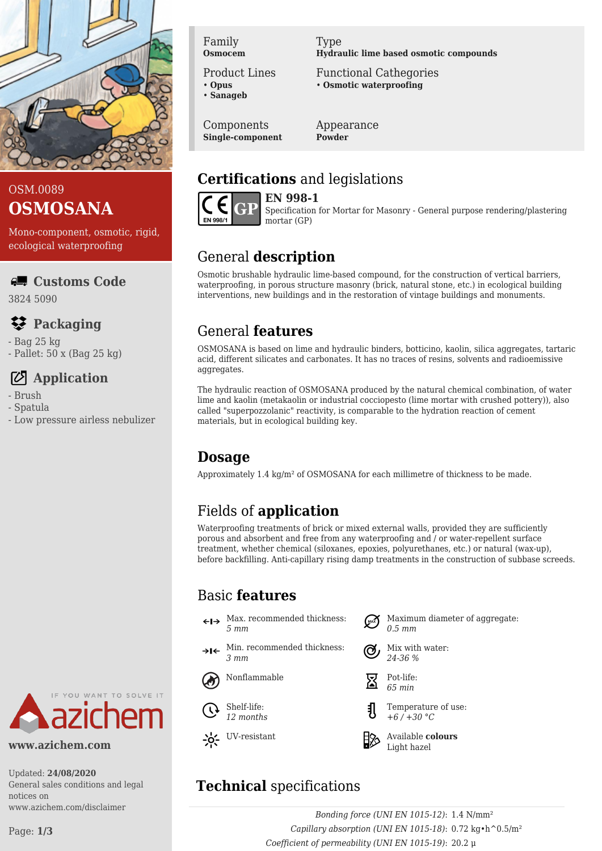

## OSM.0089 **OSMOSANA**

Mono-component, osmotic, rigid, ecological waterproofing

#### **Customs Code**

3824 5090

# **Packaging**

- Bag 25 kg - Pallet: 50 x (Bag 25 kg)

# **Application**

- Brush
- Spatula
- Low pressure airless nebulizer

Family **Osmocem**

Product Lines

• **Opus** • **Sanageb**

Components **Single-component** Type **Hydraulic lime based osmotic compounds**

Functional Cathegories • **Osmotic waterproofing**

Appearance **Powder**

#### **Certifications** and legislations



**EN 998-1** Specification for Mortar for Masonry - General purpose rendering/plastering mortar (GP)

# General **description**

Osmotic brushable hydraulic lime-based compound, for the construction of vertical barriers, waterproofing, in porous structure masonry (brick, natural stone, etc.) in ecological building interventions, new buildings and in the restoration of vintage buildings and monuments.

## General **features**

OSMOSANA is based on lime and hydraulic binders, botticino, kaolin, silica aggregates, tartaric acid, different silicates and carbonates. It has no traces of resins, solvents and radioemissive aggregates.

The hydraulic reaction of OSMOSANA produced by the natural chemical combination, of water lime and kaolin (metakaolin or industrial cocciopesto (lime mortar with crushed pottery)), also called "superpozzolanic" reactivity, is comparable to the hydration reaction of cement materials, but in ecological building key.

#### **Dosage**

Approximately 1.4 kg/m² of OSMOSANA for each millimetre of thickness to be made.

# Fields of **application**

Waterproofing treatments of brick or mixed external walls, provided they are sufficiently porous and absorbent and free from any waterproofing and / or water-repellent surface treatment, whether chemical (siloxanes, epoxies, polyurethanes, etc.) or natural (wax-up), before backfilling. Anti-capillary rising damp treatments in the construction of subbase screeds.

## Basic **features**

- Max. recommended thickness:  $\leftarrow \rightarrow$ *5 mm*
- Min. recommended thickness: عاد *3 mm*







- Maximum diameter of aggregate: *0.5 mm*
- Mix with water: *24-36 %*



- 
- Temperature of use: *+6 / +30 °C*



# **Technical** specifications

*Bonding force (UNI EN 1015-12)*: 1.4 N/mm² *Capillary absorption (UNI EN 1015-18)*: 0.72 kg•h^0.5/m² *Coefficient of permeability (UNI EN 1015-19)*: 20.2 μ



**www.azichem.com**

Updated: **24/08/2020** General sales conditions and legal notices on www.azichem.com/disclaimer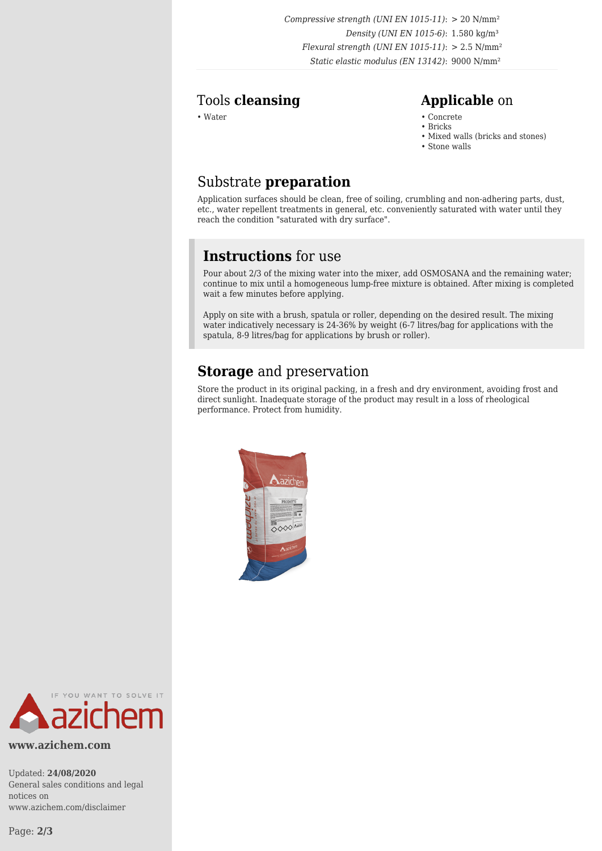*Compressive strength (UNI EN 1015-11)*: > 20 N/mm² *Density (UNI EN 1015-6)*: 1.580 kg/m³ *Flexural strength (UNI EN 1015-11)*: > 2.5 N/mm² *Static elastic modulus (EN 13142)*: 9000 N/mm²

#### Tools **cleansing Applicable** on

- Water Concrete Concrete Concrete Concrete Concrete Concrete Concrete Concrete Concrete Concrete Concrete Concrete Concrete Concrete Concrete Concrete Concrete Concrete Concrete Con
	- Bricks
	- Mixed walls (bricks and stones)
	- Stone walls

#### Substrate **preparation**

Application surfaces should be clean, free of soiling, crumbling and non-adhering parts, dust, etc., water repellent treatments in general, etc. conveniently saturated with water until they reach the condition "saturated with dry surface".

#### **Instructions** for use

Pour about 2/3 of the mixing water into the mixer, add OSMOSANA and the remaining water; continue to mix until a homogeneous lump-free mixture is obtained. After mixing is completed wait a few minutes before applying.

Apply on site with a brush, spatula or roller, depending on the desired result. The mixing water indicatively necessary is 24-36% by weight (6-7 litres/bag for applications with the spatula, 8-9 litres/bag for applications by brush or roller).

#### **Storage** and preservation

Store the product in its original packing, in a fresh and dry environment, avoiding frost and direct sunlight. Inadequate storage of the product may result in a loss of rheological performance. Protect from humidity.





#### **www.azichem.com**

Updated: **24/08/2020** General sales conditions and legal notices on www.azichem.com/disclaimer